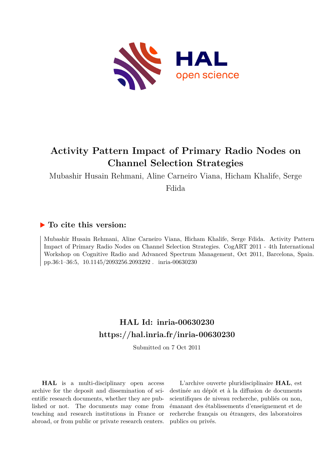

# **Activity Pattern Impact of Primary Radio Nodes on Channel Selection Strategies**

Mubashir Husain Rehmani, Aline Carneiro Viana, Hicham Khalife, Serge

Fdida

# **To cite this version:**

Mubashir Husain Rehmani, Aline Carneiro Viana, Hicham Khalife, Serge Fdida. Activity Pattern Impact of Primary Radio Nodes on Channel Selection Strategies. CogART 2011 - 4th International Workshop on Cognitive Radio and Advanced Spectrum Management, Oct 2011, Barcelona, Spain. pp.36:1-36:5, 10.1145/2093256.2093292. inria-00630230

# **HAL Id: inria-00630230 <https://hal.inria.fr/inria-00630230>**

Submitted on 7 Oct 2011

**HAL** is a multi-disciplinary open access archive for the deposit and dissemination of scientific research documents, whether they are published or not. The documents may come from teaching and research institutions in France or abroad, or from public or private research centers.

L'archive ouverte pluridisciplinaire **HAL**, est destinée au dépôt et à la diffusion de documents scientifiques de niveau recherche, publiés ou non, émanant des établissements d'enseignement et de recherche français ou étrangers, des laboratoires publics ou privés.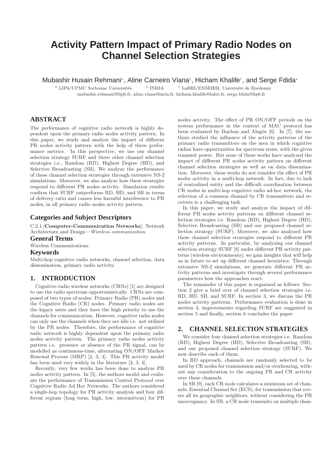# **Activity Pattern Impact of Primary Radio Nodes on Channel Selection Strategies**

Mubashir Husain Rehmani\*, Aline Carneiro Viana‡, Hicham Khalife‡, and Serge Fdida\*

 $\star$  LIP6/UPMC Sorbonne Universités  $\downarrow$  INRIA <sup>†</sup> LaBRI/ENSEIRB, Université de Bordeaux mubashir.rehmani@lip6.fr, aline.viana@inria.fr, hicham.khalife@labri.fr, serge.fdida@lip6.fr

## **ABSTRACT**

The performance of cognitive radio network is highly dependent upon the primary radio nodes activity pattern. In this paper, we study and analyze the impact of different PR nodes activity pattern with the help of three performance metrics. In this perspective, we use our channel selection strategy SURF and three other channel selection strategies i.e., Random (RD), Highest Degree (HD), and Selective Broadcasting (SB). We analyze the performance of these channel selection strategies through extensive NS-2 simulations. Moreover, we also analyze how these strategies respond to different PR nodes activity. Simulation results confirm that SURF outperforms RD, HD, and SB in terms of delivery ratio and causes less harmful interference to PR nodes, in all primary radio nodes activity pattern.

#### **Categories and Subject Descriptors**

C.2.1 [Computer-Communication Networks]: Network Architecture and Design—Wireless communication

**General Terms**

Wireless Communications

#### **Keywords**

Multi-hop cognitive radio networks, channel selection, data dissemination, primary radio activity.

#### **1. INTRODUCTION**

Cognitive radio wireless networks (CRNs) [1] are designed to use the radio spectrum opportunistically. CRNs are composed of two types of nodes: Primary Radio (PR) nodes and the Cognitive Radio (CR) nodes. Primary radio nodes are the legacy users and they have the high priority to use the channels for communication. However, cognitive radio nodes can only use the channels when they are idle i.e. not utilized by the PR nodes. Therefore, the performance of cognitive radio network is highly dependent upon the primary radio nodes activity pattern. The primary radio nodes activity pattern i.e. presence or absence of the PR signal, can be modelled as continuous-time, alternating ON/OFF Markov Renewal Process (MRP) [2, 3, 4]. This PR activity model has been used very widely in the literature [2, 3, 4].

Recently, very few works has been done to analyze PR nodes activity pattern. In [5], the authors model and evaluate the performance of Transmission Control Protocol over Cognitive Radio Ad Hoc Networks. The authors considered a single-hop topology for PR activity analysis and four different regions (long term, high, low, intermittent) for PR

nodes activity. The effect of PR ON/OFF periods on the system performance in the context of MAC protocol has been evaluated by Bayhan and Alagöz  $[6]$ . In  $[7]$ , the authors studied the influence of the activity patterns of the primary radio transmitters on the area in which cognitive radios have opportunities for spectrum reuse, with the given transmit power. But none of these works have analyzed the impact of different PR nodes activity pattern on different channel selection strategies as well as on data dissemination. Moreover, these works do not consider the effect of PR nodes activity in a multi-hop network. In fact, due to lack of centralized entity and the difficult coordination between CR nodes in multi-hop cognitive radio ad-hoc network, the selection of a common channel by CR transmitters and receivers is a challenging task.

In this paper, we study and analyze the impact of different PR nodes activity patterns on different channel selection strategies i.e. Random (RD), Highest Degree (HD), Selective Broadcasting (SB) and our proposed channel selection strategy (SURF). Moreover, we also analyzed how these channel selection strategies respond to different PR activity patterns. In particular, by analyzing our channel selection strategy SURF [8] under different PR activity patterns (wireless environments), we gain insights that will help us in future to set up different channel heuristics. Through extensive NS-2 simulations, we generate different PR activity patterns and investigate through several performance parameters how the approaches react.

The remainder of this paper is organized as follows: Section 2 give a brief over of channel selection strategies i.e. RD, HD, SB, and SURF. In section 3, we discuss the PR nodes activity patterns. Performance evaluation is done in section 4, improvements regarding SURF are suggested in section 5 and finally, section 6 concludes the paper.

### **2. CHANNEL SELECTION STRATEGIES**

We consider four channel selection strategies i.e. Random (RD), Highest Degree (HD), Selective Broadcasting (SB), and our proposed channel selection strategy (SURF). We now describe each of them.

In RD approach, channels are randomly selected to be used by CR nodes for transmission and/or overhearing, without any consideration to the ongoing PR and CR activity over these channels.

In SB [9], each CR node calculates a minimum set of channels, Essential Channel Set (ECS), for transmission that covers all its geographic neighbors, without considering the PR unoccupancy. In SB, a CR node transmits on multiple chan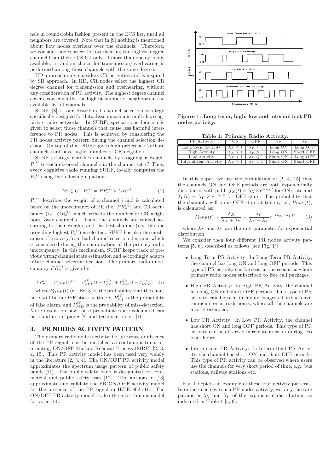nels in round-robin fashion present in the ECS list, until all neighbors are covered. Note that in [9] nothing is mentioned about how nodes overhear over the channels. Therefore, we consider nodes select for overhearing the highest degree channel from their ECS list only. If more than one option is available, a random choice for transmission/overhearing is performed among those channels with the same degree.

HD approach only considers CR activities and is inspired by SB approach. In HD, CR nodes select the highest CR degree channel for transmission and overhearing, without any consideration of PR activity. The highest degree channel covers, consequently, the highest number of neighbors in the available list of channels.

SURF [8] is our distributed channel selection strategy specifically designed for data dissemination in multi-hop cognitive radio networks. In SURF, special consideration is given to select those channels that cause less harmful interference to PR nodes. This is achieved by considering the PR nodes activity pattern during the channel selection decision. On top of that, SURF gives high preference to those channels that have higher number of CR neighbors.

SURF strategy classifies channels by assigning a weight  $P_w^{(i)}$  to each observed channel *i* in the channel set *C*. Thus, every cognitive radio running SURF, locally computes the  $P_w^{(i)}$  using the following equation:

$$
\forall i \in C : P_w^{(i)} = PR_u^{(i)} \times CR_o^{(i)} \tag{1}
$$

 $P_w^{(i)}$  describes the weight of a channel i and is calculated based on the unoccupancy of PR (i.e.  $PR_u^{(i)}$ ) and CR occupancy (i.e.  $CR_o^{(i)}$ , which reflects the number of CR neighbors) over channel  $i$ . Then, the channels are ranked according to their weights and the best channel (i.e., the one providing highest  $P_w^{(i)}$ ) is selected. SURF has also the mechanism of recovery from bad channel selection decision, which is considered during the computation of the primary radio unoccupancy. In this mechanism, SURF keeps track of previous wrong channel state estimation and accordingly adapts future channel selection decision. The primary radio unoccupancy  $PR_u^{(i)}$  is given by:

$$
PR_u^{(i)} = P_{OFF}^*(t)^{(i)} = P_{OFF}^{(i)}(1 - P_{FA}^{(i)}) + P_{MD}^{(i)}(1 - P_{OFF}^{(i)}) \tag{2}
$$

where  $P_{OFF}(t)$  (cf. Eq. 3) is the probability that the channel *i* will be in OFF state at time *t*,  $P_{FA}^{(i)}$  is the probability of false alarm, and  $P_{MD}^{(i)}$  is the probability of miss-detection. More details on how these probabilities are calculated can be found in our paper [8] and technical report [10].

### **3. PR NODES ACTIVITY PATTERN**

The primary radio nodes activity, i.e. presence or absence of the PR signal, can be modelled as continuous-time, alternating ON/OFF Markov Renewal Process (MRP) [2, 3, 4, 15]. This PR activity model has been used very widely in the literature [2, 3, 4]. The ON/OFF PR activity model approximates the spectrum usage pattern of public safety bands [11]. The public safety band is designated for commercial and public safety uses [12]. The authors in [13] approximate and validate the PR ON/OFF activity model for the presence of the PR signal in IEEE 802.11b. The ON/OFF PR activity model is also the most famous model for voice [14].



Figure 1: Long term, high, low and intermittent PR nodes activity.

| Table 1: Primary Radio Activity. |  |
|----------------------------------|--|
|----------------------------------|--|

| <b>PR</b> Activity    | ON                 | OEN                | Λх       | $\lambda$ $\vee$ |  |
|-----------------------|--------------------|--------------------|----------|------------------|--|
| Long Term Activity    | $\lambda_X \leq 1$ | $\lambda_Y \leq 1$ | Long ON  | Long OFF         |  |
| High Activity         | $\lambda_{X}$ < :  | $\lambda v > 1$    | Long ON  | Short OFF        |  |
| Low Activity          | $\lambda x > 1$    | $\lambda_Y \leq 1$ | Short ON | Long OFF         |  |
| Intermittent Activity | $\lambda_{X} > 1$  | $\lambda v > 1$    | Short ON | Short OFF        |  |

In this paper, we use the formulation of [2, 4, 15] that the channels ON and OFF periods are both exponentially distributed with p.d.f.  $f_X(t) = \lambda_X \times e^{-\lambda_X t}$  for ON state and  $f_Y(t) = \lambda_Y \times e^{-\lambda_Y t}$  for OFF state. The probability that the channel i will be in OFF state at time t, i.e.,  $P_{OFF}(t)$ , is calculated as:

$$
P_{OFF}(t) = \frac{\lambda_X}{\lambda_X + \lambda_Y} + \frac{\lambda_Y}{\lambda_X + \lambda_Y} e^{-(\lambda_X + \lambda_Y)t}
$$
 (3)

where  $\lambda_X$  and  $\lambda_Y$  are the rate parameter for exponential distribution.

We consider then four different PR nodes activity patterns [5, 6], described as follows (see Fig. 1):

- Long Term PR Activity: In Long Term PR Activity, the channel has long ON and long OFF periods. This type of PR activity can be seen in the scenarios where primary radio nodes subscribed to free call packages.
- High PR Activity: In High PR Activity, the channel has long ON and short OFF periods. This type of PR activity can be seen in highly congested urban environments or in rush hours, where all the channels are mostly occupied.
- Low PR Activity: In Low PR Activity, the channel has short ON and long OFF periods. This type of PR activity can be observed in remote areas or during less peak hours.
- Intermittent PR Activity: In Intermittent PR Activity, the channel has short ON and short OFF periods. This type of PR activity can be observed where users use the channels for very short period of time, e.g., bus stations, railway stations etc.

Fig. 1 depicts an example of these four activity patterns. In order to achieve such PR nodes activity, we vary the rate parameter  $\lambda_X$  and  $\lambda_Y$  of the exponential distribution, as indicated in Table 1 [5, 6].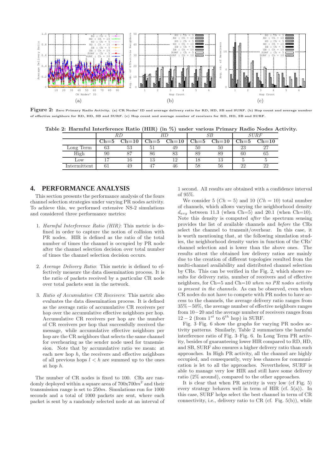

Figure 2: Zero Primary Radio Activity. (a) CR Nodes' ID and average delivery ratio for RD, HD, SB and SURF. (b) Hop count and average number of effective neighbors for RD, HD, SB and SURF. (c) Hop count and average number of receivers for RD, HD, SB and SURF.

Table 2: Harmful Interference Ratio (HIR) (in %) under various Primary Radio Nodes Activity.

|              | $\mathrm{Ch}{=}5$ |    |     | $Ch=10$   $Ch=5$ $Ch=10$   $Ch=5$ $Ch=10$   $Ch=5$ $Ch=10$ |     |    |    |          |
|--------------|-------------------|----|-----|------------------------------------------------------------|-----|----|----|----------|
| Long Term    | 63                | 53 |     | 45                                                         | .JG | ЪU | 23 | $\Omega$ |
| High         | 90                |    |     | ວງ<br>oJ                                                   |     | OЭ | 60 | оč       |
| Low          |                   | Īб | ĿIJ | 1 ດ                                                        |     | ΠÐ |    |          |
| Internittent | 61                | 49 |     | 46                                                         |     | 56 | ഹ  | $\Omega$ |

#### **4. PERFORMANCE ANALYSIS**

This section presents the performance analysis of the fours channel selection strategies under varying PR nodes activity. To achieve this, we performed extensive NS-2 simulations and considered three performance metrics:

- 1. Harmful Interference Ratio (HIR): This metric is defined in order to capture the notion of collision with PR nodes. HIR is defined as the ratio of the total number of times the channel is occupied by PR node after the channel selection decision over total number of times the channel selection decision occurs.
- 2. Average Delivery Ratio: This metric is defined to effectively measure the data dissemination process. It is the ratio of packets received by a particular CR node over total packets sent in the network.
- 3. Ratio of Accumulative CR Receivers: This metric also evaluates the data dissemination process. It is defined as the average ratio of accumulative CR receivers per hop over the accumulative effective neighbors per hop. Accumulative CR receivers per hop are the number of CR receivers per hop that successfully received the message, while accumulative effective neighbors per hop are the CR neighbors that selects the same channel for overhearing as the sender node used for transmission. Note that by accumulative ratio we mean: at each new hop  $h$ , the receivers and effective neighbors of all previous hops  $l < h$  are summed up to the ones at hop h.

The number of CR nodes is fixed to 100. CRs are randomly deployed within a square area of  $700x700m^2$  and their transmission range is set to  $250m$ . Simulations run for  $1000$ seconds and a total of 1000 packets are sent, where each packet is sent by a randomly selected node at an interval of

1 second. All results are obtained with a confidence interval of 95%.

We consider 5  $(Ch = 5)$  and 10  $(Ch = 10)$  total number of channels, which allows varying the neighborhood density  $d_{avg}$  between 11.3 (when Ch=5) and 20.1 (when Ch=10). Note this density is computed after the spectrum sensing provides the list of available channels and before the CRs select the channel to transmit/overhear. In this case, it is worth mentioning that, at the following simulation studies, the neighborhood density varies in function of the CRs' channel selection and is lower than the above ones. The results attest the obtained low delivery ratios are mainly due to the creation of different topologies resulted from the multi-channel availability and distributed channel selection by CRs. This can be verified in the Fig. 2, which shows results for delivery ratio, number of receivers and of effective neighbors, for Ch=5 and Ch=10 when no PR nodes activity is present in the channels. As can be observed, even when CR nodes do not have to compete with PR nodes to have access to the channels, the average delivery ratio ranges from 35%−50%, the average number of effective neighbors ranges from 10−20 and the average number of receivers ranges from  $12-2$  (from  $1^{st}$  to  $6^{th}$  hop) in SURF.

Fig. 3–Fig. 6 show the graphs for varying PR nodes activity patterns. Similarly, Table 2 summarizes the harmful interference ratio of Fig. 3–Fig. 6. In Long Term PR activity, besides of guaranteeing lower HIR compared to RD, HD, and SB, SURF also ensures a higher delivery ratio than such approaches. In High PR activity, all the channel are highly occupied, and consequently, very less chances for communication is let to all the approaches. Nevertheless, SURF is able to manage very low HIR and still have some delivery ratio (2% around), compared to the other approaches.

It is clear that when PR activity is very low (cf Fig. 5) every strategy behaves well in term of HIR (cf. 5(a)). In this case, SURF helps select the best channel in term of CR connectivity, i.e., delivery ratio to  $CR$  (cf. Fig.  $5(b)$ ), while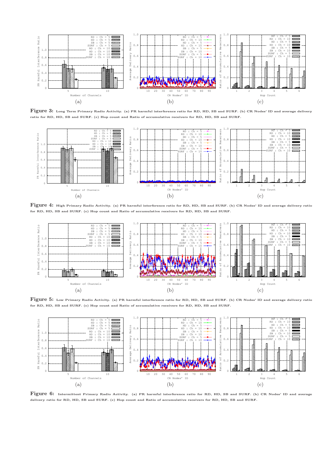

Figure 3: Long Term Primary Radio Activity. (a) PR harmful interference ratio for RD, HD, SB and SURF. (b) CR Nodes' ID and average delivery ratio for RD, HD, SB and SURF. (c) Hop count and Ratio of accumulative receivers for RD, HD, SB and SURF.



Figure 4: High Primary Radio Activity. (a) PR harmful interference ratio for RD, HD, SB and SURF. (b) CR Nodes' ID and average delivery ratio for RD, HD, SB and SURF. (c) Hop count and Ratio of accumulative receivers for RD, HD, SB and SURF.



Figure 5: Low Primary Radio Activity. (a) PR harmful interference ratio for RD, HD, SB and SURF. (b) CR Nodes' ID and average delivery ratio for RD, HD, SB and SURF. (c) Hop count and Ratio of accumulative receivers for RD, HD, SB and SURF.



Figure 6: Intermittent Primary Radio Activity. (a) PR harmful interference ratio for RD, HD, SB and SURF. (b) CR Nodes' ID and average delivery ratio for RD, HD, SB and SURF. (c) Hop count and Ratio of accumulative receivers for RD, HD, SB and SURF.